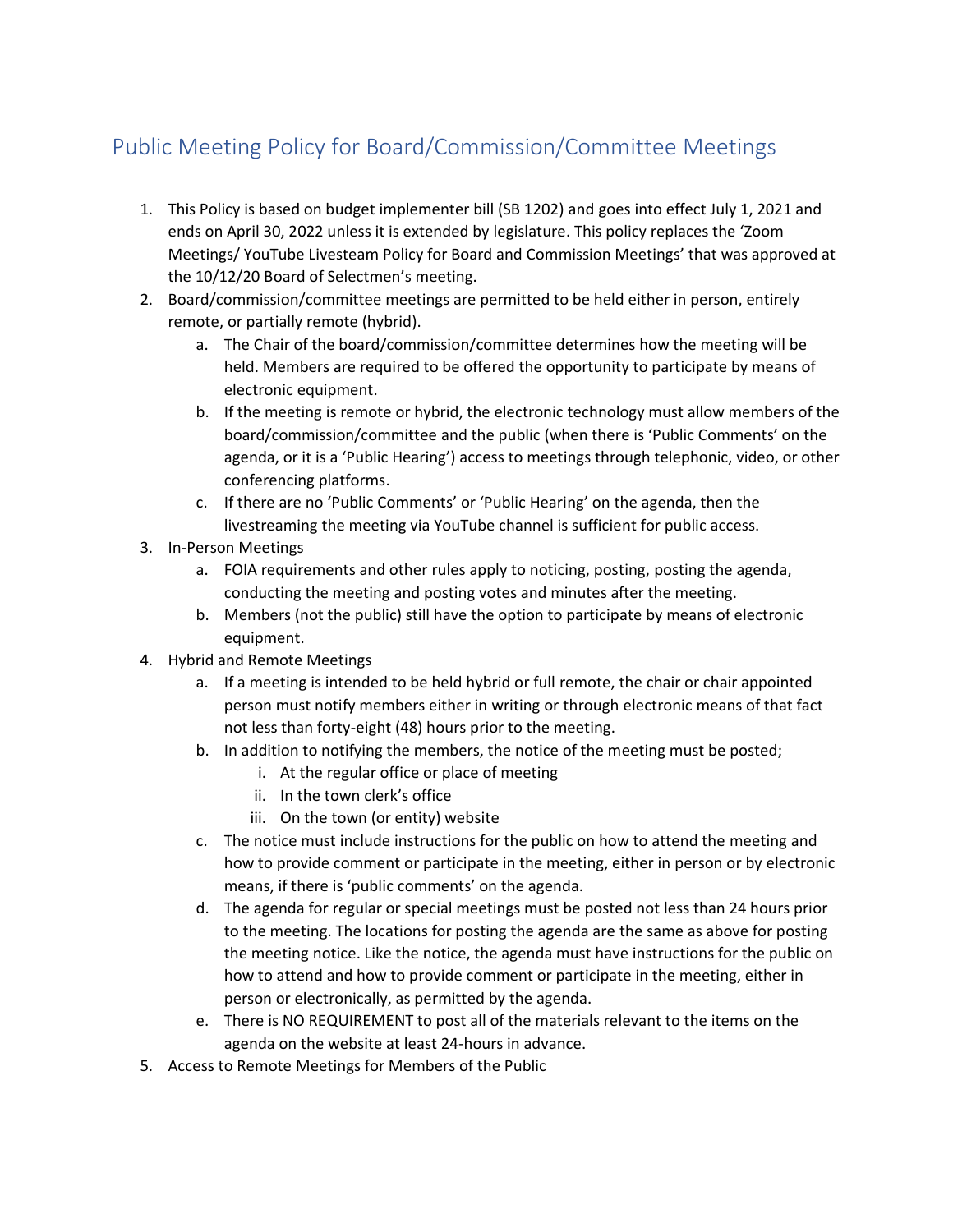## Public Meeting Policy for Board/Commission/Committee Meetings

- 1. This Policy is based on budget implementer bill (SB 1202) and goes into effect July 1, 2021 and ends on April 30, 2022 unless it is extended by legislature. This policy replaces the 'Zoom Meetings/ YouTube Livesteam Policy for Board and Commission Meetings' that was approved at the 10/12/20 Board of Selectmen's meeting.
- 2. Board/commission/committee meetings are permitted to be held either in person, entirely remote, or partially remote (hybrid).
	- a. The Chair of the board/commission/committee determines how the meeting will be held. Members are required to be offered the opportunity to participate by means of electronic equipment.
	- b. If the meeting is remote or hybrid, the electronic technology must allow members of the board/commission/committee and the public (when there is 'Public Comments' on the agenda, or it is a 'Public Hearing') access to meetings through telephonic, video, or other conferencing platforms.
	- c. If there are no 'Public Comments' or 'Public Hearing' on the agenda, then the livestreaming the meeting via YouTube channel is sufficient for public access.
- 3. In-Person Meetings
	- a. FOIA requirements and other rules apply to noticing, posting, posting the agenda, conducting the meeting and posting votes and minutes after the meeting.
	- b. Members (not the public) still have the option to participate by means of electronic equipment.
- 4. Hybrid and Remote Meetings
	- a. If a meeting is intended to be held hybrid or full remote, the chair or chair appointed person must notify members either in writing or through electronic means of that fact not less than forty-eight (48) hours prior to the meeting.
	- b. In addition to notifying the members, the notice of the meeting must be posted;
		- i. At the regular office or place of meeting
		- ii. In the town clerk's office
		- iii. On the town (or entity) website
	- c. The notice must include instructions for the public on how to attend the meeting and how to provide comment or participate in the meeting, either in person or by electronic means, if there is 'public comments' on the agenda.
	- d. The agenda for regular or special meetings must be posted not less than 24 hours prior to the meeting. The locations for posting the agenda are the same as above for posting the meeting notice. Like the notice, the agenda must have instructions for the public on how to attend and how to provide comment or participate in the meeting, either in person or electronically, as permitted by the agenda.
	- e. There is NO REQUIREMENT to post all of the materials relevant to the items on the agenda on the website at least 24-hours in advance.
- 5. Access to Remote Meetings for Members of the Public